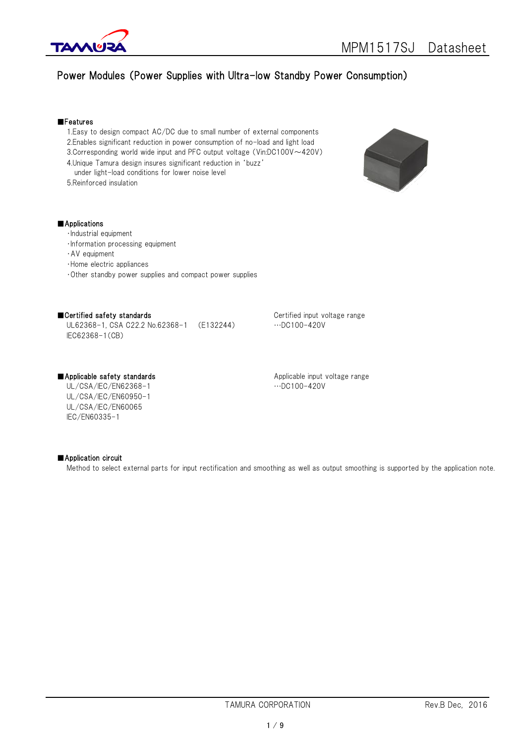

# Power Modules (Power Supplies with Ultra-low Standby Power Consumption)

#### ■Features

- 1.Easy to design compact AC/DC due to small number of external components 2.Enables significant reduction in power consumption of no-load and light load
- 3.Corresponding world wide input and PFC output voltage (Vin:DC100V~420V)
- 4.Unique Tamura design insures significant reduction in 'buzz'
- under light-load conditions for lower noise level
- 5.Reinforced insulation



# ■Applications

- ・Industrial equipment
- ・Information processing equipment
- ・AV equipment
- ・Home electric appliances
- ・Other standby power supplies and compact power supplies

# ■Certified safety standards and all the Certified input voltage range

UL62368-1, CSA C22.2 No.62368-1 (E132244) …DC100-420V IEC62368-1(CB)

UL/CSA/IEC/EN62368-1 …DC100-420V UL/CSA/IEC/EN60950-1 UL/CSA/IEC/EN60065 IEC/EN60335-1

■Applicable safety standards Applicable input voltage range

# ■ Application circuit

Method to select external parts for input rectification and smoothing as well as output smoothing is supported by the application note.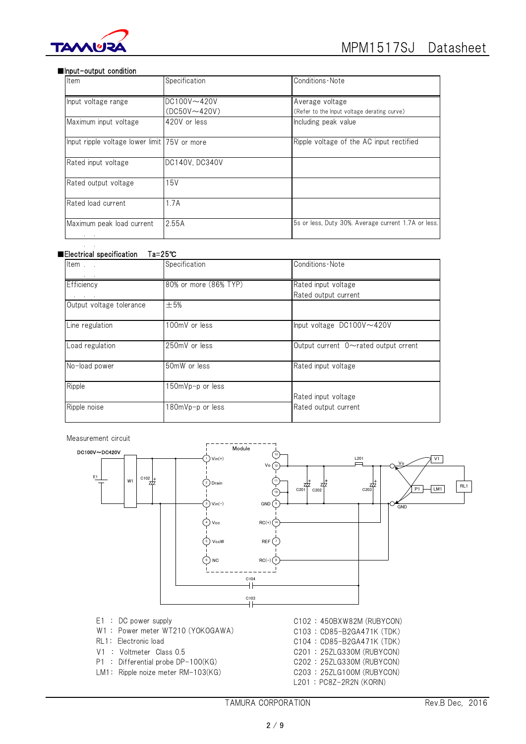

#### ■Input-output condition

| Item                                         | Specification       | Conditions Note                                     |
|----------------------------------------------|---------------------|-----------------------------------------------------|
| Input voltage range                          | $DC100V \sim 420V$  | Average voltage                                     |
|                                              | $(DC50V \sim 420V)$ | (Refer to the lnput voltage derating curve)         |
| Maximum input voltage                        | 420V or less        | Including peak value                                |
| Input ripple voltage lower limit 75V or more |                     | Ripple voltage of the AC input rectified            |
| Rated input voltage                          | DC140V, DC340V      |                                                     |
| Rated output voltage                         | 15V                 |                                                     |
| Rated load current                           | 1.7A                |                                                     |
| Maximum peak load current                    | 2.55A               | 5s or less, Duty 30%. Average current 1.7A or less. |

### ■Electrical specification Ta=25℃

| Item                     | Specification         | Conditions · Note                           |
|--------------------------|-----------------------|---------------------------------------------|
| Efficiency               | 80% or more (86% TYP) | Rated input voltage<br>Rated output current |
| Output voltage tolerance | $\pm$ 5%              |                                             |
| Line regulation          | 100mV or less         | Input voltage DC100V~420V                   |
| Load regulation          | 250mV or less         | Output current $0 \sim$ rated output crrent |
| No-load power            | 50mW or less          | Rated input voltage                         |
| Ripple                   | 50mVp-p or less       | Rated input voltage                         |
| Ripple noise             | 180mVp-p or less      | Rated output current                        |

Measurement circuit



- 
- W1 : Power meter WT210 (YOKOGAWA) C103 : CD85-B2GA471K (TDK)
- 
- 
- 
- LM1: Ripple noize meter RM-103(KG) C203 : 25ZLG100M (RUBYCON)
- E1 : DC power supply  $C102 : 450B$ XW82M (RUBYCON) RL1: Electronic load C104 : CD85-B2GA471K (TDK) V1 : Voltmeter Class 0.5 C201 : 25ZLG330M (RUBYCON) P1 : Differential probe DP-100(KG) C202 : 25ZLG330M (RUBYCON) L201 : PC8Z-2R2N (KORIN)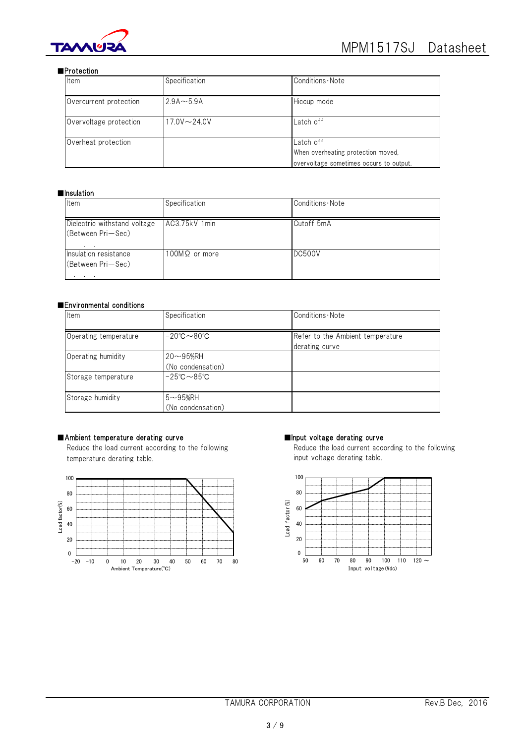

### ■Protection

| Item                   | Specification      | Conditions Note                                                                            |
|------------------------|--------------------|--------------------------------------------------------------------------------------------|
| Overcurrent protection | $2.9A \sim 5.9A$   | Hiccup mode                                                                                |
| Overvoltage protection | $17.0V \sim 24.0V$ | Latch off                                                                                  |
| Overheat protection    |                    | Latch off<br>When overheating protection moved,<br>overvoltage sometimes occurs to output. |

# ■Insulation

| Item                                              | Specification        | Conditions Note |
|---------------------------------------------------|----------------------|-----------------|
| Dielectric withstand voltage<br>(Between Pri-Sec) | AC3.75kV 1min        | Cutoff 5mA      |
| Insulation resistance<br>(Between Pri-Sec)        | $100M\Omega$ or more | <b>DC500V</b>   |

# ■Environmental conditions

| Item                  | Specification                               | Conditions Note                                    |
|-----------------------|---------------------------------------------|----------------------------------------------------|
| Operating temperature | $-20^{\circ}$ C $\sim$ 80 $^{\circ}$ C      | Refer to the Ambient temperature<br>derating curve |
| Operating humidity    | $20\nthicksim95%$ RH<br>(No condensation)   |                                                    |
| Storage temperature   | $-25^\circ \text{C} \sim 85^\circ \text{C}$ |                                                    |
| Storage humidity      | $5 - 95%$ RH<br>(No condensation)           |                                                    |

# ■Ambient temperature derating curve ■Input voltage derating curve

temperature derating table. including the control of the input voltage derating table.



Reduce the load current according to the following **Reduce the load current according to the following** 

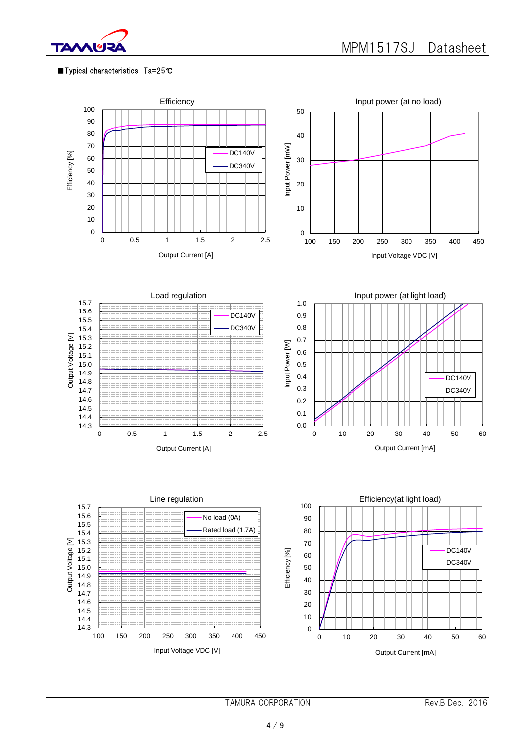

# ■Typical characteristics Ta=25℃



TAMURA CORPORATION Rev.B Dec, 2016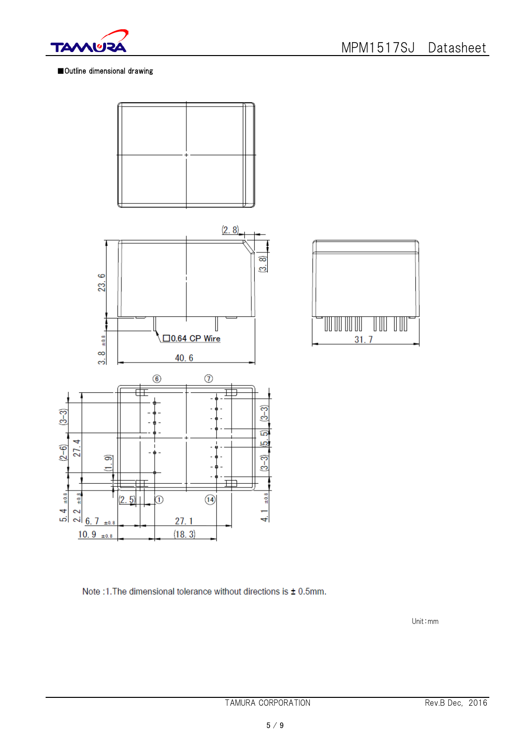

# ■Outline dimensional drawing





Note :1. The dimensional tolerance without directions is ± 0.5mm.

Unit:mm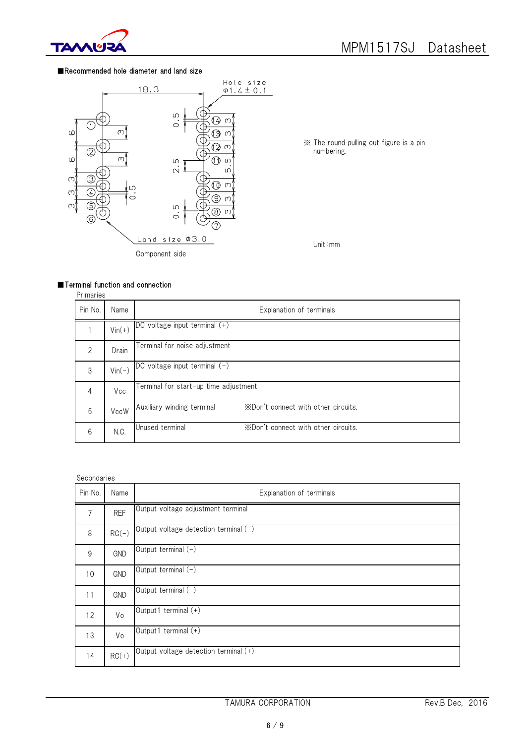

### ■Recommended hole diameter and land size



 $\times$  The round pulling out figure is a pin numbering.

Unit:mm

# ■Terminal function and connection

| ۰.<br>⊿ |  |
|---------|--|
|         |  |

| Pin No.        | Name     | Explanation of terminals                                          |  |  |
|----------------|----------|-------------------------------------------------------------------|--|--|
|                | $Vin(+)$ | DC voltage input terminal (+)                                     |  |  |
| $\mathfrak{D}$ | Drain    | Terminal for noise adjustment                                     |  |  |
| 3              | $Vin(-)$ | DC voltage input terminal $(-)$                                   |  |  |
| 4              | Vcc      | Terminal for start-up time adjustment                             |  |  |
| 5              | VccW     | *Don't connect with other circuits.<br>Auxiliary winding terminal |  |  |
| 6              | N.C.     | *Don't connect with other circuits.<br>Unused terminal            |  |  |

#### Secondaries

| Pin No.          | Name       | Explanation of terminals              |
|------------------|------------|---------------------------------------|
| 7                | <b>REF</b> | Output voltage adjustment terminal    |
| 8                | $RC(-)$    | Output voltage detection terminal (-) |
| $\boldsymbol{9}$ | <b>GND</b> | Output terminal (-)                   |
| 10               | <b>GND</b> | Output terminal (-)                   |
| 11               | GND        | Output terminal (-)                   |
| 12               | Vo         | Output1 terminal (+)                  |
| 13               | Vo         | Output1 terminal (+)                  |
| 14               | $RC(+)$    | Output voltage detection terminal (+) |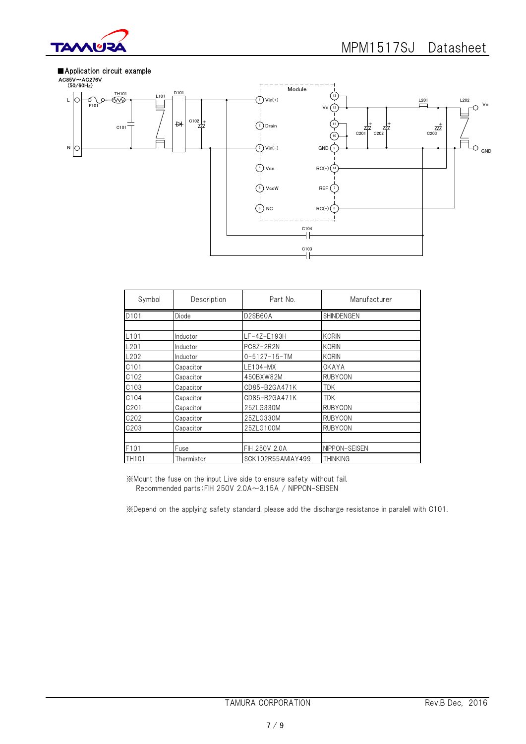



| Symbol            | Description | Part No.             | Manufacturer      |
|-------------------|-------------|----------------------|-------------------|
| D101              | Diode       | D2SB60A              | <b>SHINDENGEN</b> |
|                   |             |                      |                   |
| L101              | Inductor    | LF-4Z-E193H          | <b>KORIN</b>      |
| L201              | Inductor    | PC8Z-2R2N            | <b>KORIN</b>      |
| L202              | Inductor    | $0 - 5127 - 15 - TM$ | <b>KORIN</b>      |
| C101              | Capacitor   | LE104-MX             | OKAYA             |
| C102              | Capacitor   | 450BXW82M            | <b>RUBYCON</b>    |
| C103              | Capacitor   | CD85-B2GA471K        | <b>TDK</b>        |
| C104              | Capacitor   | CD85-B2GA471K        | <b>TDK</b>        |
| C201              | Capacitor   | 25ZLG330M            | <b>RUBYCON</b>    |
| C202              | Capacitor   | 25ZLG330M            | <b>RUBYCON</b>    |
| C203              | Capacitor   | 25ZLG100M            | <b>RUBYCON</b>    |
|                   |             |                      |                   |
| F101              | Fuse        | FIH 250V 2.0A        | NIPPON-SEISEN     |
| TH <sub>101</sub> | Thermistor  | SCK102R55AMIAY499    | <b>THINKING</b>   |

※Mount the fuse on the input Live side to ensure safety without fail. Recommended parts:FIH 250V 2.0A~3.15A / NIPPON-SEISEN

※Depend on the applying safety standard, please add the discharge resistance in paralell with C101.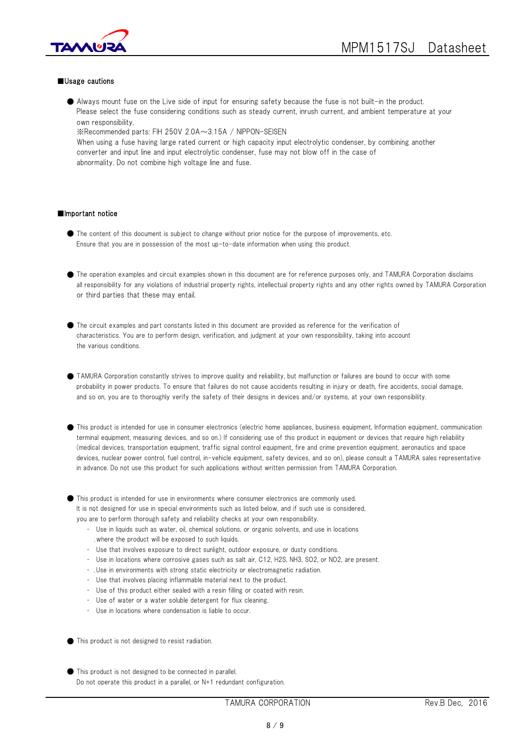

#### ■Usage cautions

● Always mount fuse on the Live side of input for ensuring safety because the fuse is not built-in the product. Please select the fuse considering conditions such as steady current, inrush current, and ambient temperature at your own responsibility.

※Recommended parts: FIH 250V 2.0A~3.15A / NIPPON-SEISEN When using a fuse having large rated current or high capacity input electrolytic condenser, by combining another converter and input line and input electrolytic condenser, fuse may not blow off in the case of abnormality. Do not combine high voltage line and fuse.

#### ■Important notice

- The content of this document is subject to change without prior notice for the purpose of improvements, etc. Ensure that you are in possession of the most up-to-date information when using this product.
- The operation examples and circuit examples shown in this document are for reference purposes only, and TAMURA Corporation disclaims all responsibility for any violations of industrial property rights, intellectual property rights and any other rights owned by TAMURA Corporation or third parties that these may entail.

● The circuit examples and part constants listed in this document are provided as reference for the verification of characteristics. You are to perform design, verification, and judgment at your own responsibility, taking into account the various conditions.

- TAMURA Corporation constantly strives to improve quality and reliability, but malfunction or failures are bound to occur with some probability in power products. To ensure that failures do not cause accidents resulting in injury or death, fire accidents, social damage, and so on, you are to thoroughly verify the safety of their designs in devices and/or systems, at your own responsibility.
- This product is intended for use in consumer electronics (electric home appliances, business equipment, Information equipment, communication terminal equipment, measuring devices, and so on.) If considering use of this product in equipment or devices that require high reliability (medical devices, transportation equipment, traffic signal control equipment, fire and crime prevention equipment, aeronautics and space devices, nuclear power control, fuel control, in-vehicle equipment, safety devices, and so on), please consult a TAMURA sales representative in advance. Do not use this product for such applications without written permission from TAMURA Corporation.
- This product is intended for use in environments where consumer electronics are commonly used. It is not designed for use in special environments such as listed below, and if such use is considered, you are to perform thorough safety and reliability checks at your own responsibility.
	- ・ Use in liquids such as water, oil, chemical solutions, or organic solvents, and use in locations where the product will be exposed to such liquids.
	- ・ Use that involves exposure to direct sunlight, outdoor exposure, or dusty conditions.
	- ・ Use in locations where corrosive gases such as salt air, C12, H2S, NH3, SO2, or NO2, are present.
	- ・ Use in environments with strong static electricity or electromagnetic radiation.
	- ・ Use that involves placing inflammable material next to the product.
	- Use of this product either sealed with a resin filling or coated with resin.
	- Use of water or a water soluble detergent for flux cleaning.
	- ・ Use in locations where condensation is liable to occur.
- This product is not designed to resist radiation.
- This product is not designed to be connected in parallel. Do not operate this product in a parallel, or N+1 redundant configuration.